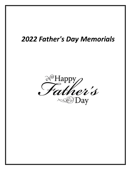# *2022 Father's Day Memorials*

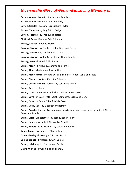**Batten, Abram** - by Julie, Jim, Ken and Families **Batten, Abram** - by Jim, Sandra & Family **Batten, Chesley** - by Sandra & Graham Taylor **Batten, Thomas -** by Amy & Eric Dodge **Batten, Thomas** - by Fred & Ella Batten **Bickford, Eneas**, Dad **-** by Dale & Joanne **Bussey, Charles** - by June Mercer **Bussey, Edward -** by Elizabeth & Jim Tilley and Family **Bussey, Edward -** by Kathleen and Grace **Bussey, Edward** - by Ken & Loretta Scott and Family **Bussey, Peter -** by Fred & Ella Batten **Butler, Albert -** by Boyd & Jeanette and Family **Butler, Albert -** by Marion & Kevin Hunt **Butler, Albert James** - by Barb Butler & Families, Renee, Sonia and Scott **Butler, Charles -** by Sam, Christina & family **Butler, Charles Garland**, Father - by Calvin and family **Butler, Dave -** by Barb **Butler, Dave -** by Renee, Rahul, Shyla and Justin Hampole **Butler, Dave** - by Scott, Patti, Sarah, Samantha, Logan and Liam **Butler, Dave -** by Sonia, Mike & Olivia Cave **Butler, Doug**, Dad - by Elizabeth and family **Butler, Douglas**, Father - Forever in our hearts today and every day - by Janice & Nelson Eason and Family **Butler, Uriah**, Grandfather **-** by Barb & Robert Tilley **Butler, Jimmy -** by Linda & George McDonald **Butler, Robert Leslie**, Brother - by Calvin and family **Cable, Junior -** by George & Sharon Peach **Cable, Chesley -** by George & Sharon Peach **Caines, Ernest –** by Dorcas & Cyril Dooley **Carter, Uriah -** by Jim, Sandra and Family **Dawe, Wilfred -** by Joan, Bob and Family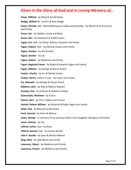**Dawe, Wilfred -** by Marg & Gerald Dawe **Dodge, William H. -** by Eric & Amy Dodge **Eason, Donald**, Dad - Remembering you today and everyday - by Nelson & Janice Eason and Family **Eason, Jim -** by Debbie, Cassie and Betty **Eason, Ken -** by Stephanie & Ashley Eason **Fagan, Ern**, Dad **-** by Cathy, Rodney, Roxanne and family **Fagan, Hubert**, Dad - by David & Joselyn and Family **Fagan, Gordon -** by Dot & Herb **Fagan, Gordon** - by Lily **Fagan, Hubert** - by Madonna and Family **Fagan, Reginald Linton** - by Ralph & Rosalind Fagan and Family **Fagan, William -** by George & Sharon Peach **Fowler, Charlie** - by Ern & Myrtle Fowler **Fowler, Henry**, Father-in-Law - by Calvin and Family **Fry, Maxwell -** by George & Sharon Peach **Gibbons, John -** by Alex & Maxine Rideout **Greeley, Dan** - by Graham & Heather Greeley **Greenslade, Matthew -** by Gloria **Haines, Bert -** by Chris, Gladys and Carissa **Haskell, Robert William** - by Rosalind & Ralph Fagan and Family **Head, Jack -** by Marg & Gerald Dawe **Hunt, Samuel -** by Kevin & Marion **Janes, George -** In memory of my precious father from daughter Georgina and Family **Janes, Sammy** - by Lily **Jefford, James**, Dad - by Ruby **Jefford, Samuel**, Dad - by Joanne & Dale **John F. Buckle -** by Dave & Bertha Rideout **King, Alvin -** by wife Marie and Family **Lawrence, Albert** - by Madonna and Family **Lawrence, Francis** - by Madonna and Family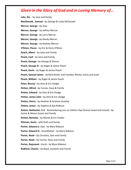**Lehr, Kie -** by Jane and family **MacDonald, Samuel -** by George & Linda McDonald **Mercer, George -** by Jean **Mercer, George** - by Jeffrey Mercer **Mercer, George** - by Larry Mercer **Mercer, George -** by Randy Mercer **Mercer, George** - by Rodney Mercer **O'Brien, Pierce** - by Eric & Doris O'Brien **Peach, Albert** - by Jane and Family **Peach, Cyril** - by Jane and Family **Peach, George -** by George & Sharon **Peach, George Sr -** by Roger & Janice Peach **Peach, Kevin** - by Roger & Janice Peach **Peach, Samuel James** - by Barb Butler and Families, Renee, Sonia and Scott **Peach, William** - by Roger & Janice Peach **Peter, Bussey -** by Amy & Eric Dodge **Petten, Alfred -** by Fannie, Dave & Family **Petten, Edward -** by Amy & Eric Dodge **Petten, James John -** by Amy & Eric Dodge **Petten, Henry** - by Heather & Graham Greeley **Petten, James** - by Daphne & Ray Rideout **Petten, Nathaniel,** Dad - Remembering you on Fathers Day forever loved and missed - by Janice & Nelson Eason and Family **Petten, Nicholas** - by Myrtle & Ern Fowler **Pittman, Kevin** - wife Ruth and family **Porter, Edward Jr**, Dad - by Myra Rideout **Porter, Edward Sr -** Grandfather - by Myra Rideout **Porter, Noah -** by Christina, Sam and Family **Porter, Noah -** by Fannie, Dave and Family **Porter, Raymond -** Uncle - by Myra Rideout **Radford, Charles -** by Boyd, Jeanette and Family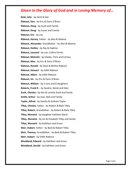**Reid, John** - by Herb & Dot **Rideout, Don -** by Eric & Doris O'Brien **Rideout, Doug -** by Scott and Family **Rideout, Doug** - by Susan and Family **Rideout, Eric** - by Lily **Rideout, Harvey**, Father - by Alex & Maxine **Rideout, Alexander**, Grandfather **-** by Alex & Maxine **Rideout, Hedley -** by Ray & Daphne **Rideout, Leonard** - by son, Collins Porter. **Rideout, Malcolm -** by Gladys, Chris and Carissa **Rideout, Max** - by Eric & Doris O'Brien **Rideout, Ronald -** by Dave & Bertha Rideout **Rideout, Stewart** - by Edith Rideout **Rideout, Albert** - by Edith Rideout **Rideout, Vic** - by Eric & Doris O'Brien **Rideout, William -** by 2 sons and 6 daughters **Roberts, Frank K.** - by Sandra, Derek and Glen **Scott, Chesley -** by Ken & Loretta Scott and family **Smith, Arthur -** by Joan, Bob and Family **Taylor, Alfred** - by Sandra & Graham Taylor **Tilley, Chesley**, Father - by Robert & Barb Tilley **Tilley, Robert**, Grandfather - by Robert & Barb Tilley **Tilley, Warwick** - by daughter Kathleen Baird **Tilley, Warwick -** by Jim & Elizabeth Tilley and family **Tilley, Warwick -** by Kathleen and Grace **Weir, Hubert**, Father - by Barb & Robert Tilley **Weir, Thomas**, Grandfather - by Barb & Robert Tilley **Weir, Hubert** - by Edith Rideout **Woodland, Edward -** by Kathleen and Grace **Woodland, Gerald -** by Kathleen and Grace